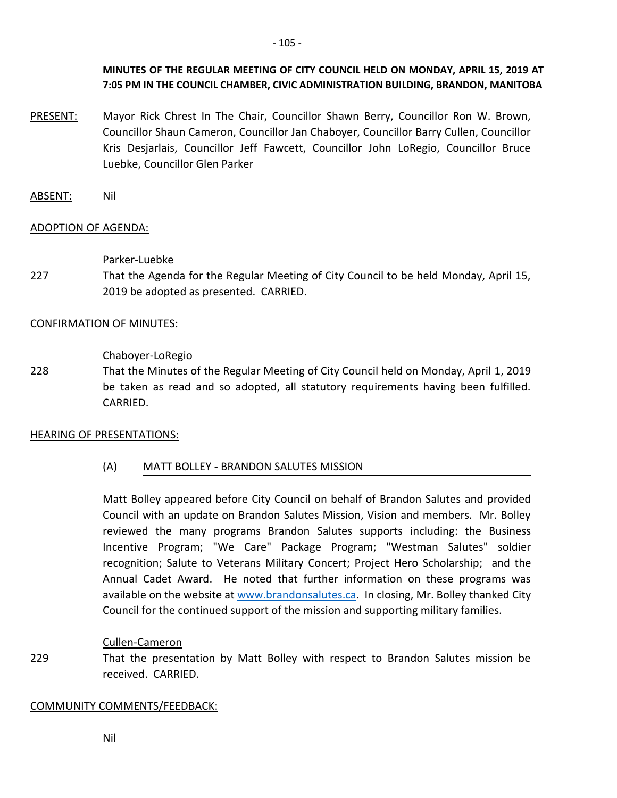# **MINUTES OF THE REGULAR MEETING OF CITY COUNCIL HELD ON MONDAY, APRIL 15, 2019 AT 7:05 PM IN THE COUNCIL CHAMBER, CIVIC ADMINISTRATION BUILDING, BRANDON, MANITOBA**

- PRESENT: Mayor Rick Chrest In The Chair, Councillor Shawn Berry, Councillor Ron W. Brown, Councillor Shaun Cameron, Councillor Jan Chaboyer, Councillor Barry Cullen, Councillor Kris Desjarlais, Councillor Jeff Fawcett, Councillor John LoRegio, Councillor Bruce Luebke, Councillor Glen Parker
- ABSENT: Nil

# ADOPTION OF AGENDA:

### Parker-Luebke

227 That the Agenda for the Regular Meeting of City Council to be held Monday, April 15, 2019 be adopted as presented. CARRIED.

### CONFIRMATION OF MINUTES:

### Chaboyer-LoRegio

228 That the Minutes of the Regular Meeting of City Council held on Monday, April 1, 2019 be taken as read and so adopted, all statutory requirements having been fulfilled. CARRIED.

#### HEARING OF PRESENTATIONS:

# (A) MATT BOLLEY - BRANDON SALUTES MISSION

Matt Bolley appeared before City Council on behalf of Brandon Salutes and provided Council with an update on Brandon Salutes Mission, Vision and members. Mr. Bolley reviewed the many programs Brandon Salutes supports including: the Business Incentive Program; "We Care" Package Program; "Westman Salutes" soldier recognition; Salute to Veterans Military Concert; Project Hero Scholarship; and the Annual Cadet Award. He noted that further information on these programs was available on the website at [www.brandonsalutes.ca.](http://www.brandonsalutes.ca/) In closing, Mr. Bolley thanked City Council for the continued support of the mission and supporting military families.

#### Cullen-Cameron

229 That the presentation by Matt Bolley with respect to Brandon Salutes mission be received. CARRIED.

#### COMMUNITY COMMENTS/FEEDBACK:

Nil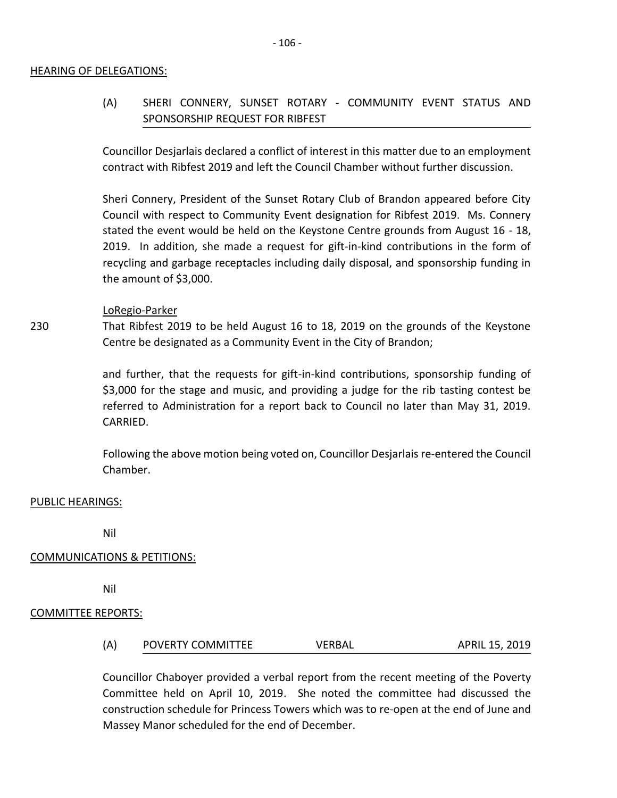#### HEARING OF DELEGATIONS:

# (A) SHERI CONNERY, SUNSET ROTARY - COMMUNITY EVENT STATUS AND SPONSORSHIP REQUEST FOR RIBFEST

Councillor Desjarlais declared a conflict of interest in this matter due to an employment contract with Ribfest 2019 and left the Council Chamber without further discussion.

Sheri Connery, President of the Sunset Rotary Club of Brandon appeared before City Council with respect to Community Event designation for Ribfest 2019. Ms. Connery stated the event would be held on the Keystone Centre grounds from August 16 - 18, 2019. In addition, she made a request for gift-in-kind contributions in the form of recycling and garbage receptacles including daily disposal, and sponsorship funding in the amount of \$3,000.

#### LoRegio-Parker

230 That Ribfest 2019 to be held August 16 to 18, 2019 on the grounds of the Keystone Centre be designated as a Community Event in the City of Brandon;

> and further, that the requests for gift-in-kind contributions, sponsorship funding of \$3,000 for the stage and music, and providing a judge for the rib tasting contest be referred to Administration for a report back to Council no later than May 31, 2019. CARRIED.

> Following the above motion being voted on, Councillor Desjarlais re-entered the Council Chamber.

#### PUBLIC HEARINGS:

Nil

#### COMMUNICATIONS & PETITIONS:

Nil

#### COMMITTEE REPORTS:

(A) POVERTY COMMITTEE VERBAL APRIL 15, 2019

Councillor Chaboyer provided a verbal report from the recent meeting of the Poverty Committee held on April 10, 2019. She noted the committee had discussed the construction schedule for Princess Towers which was to re-open at the end of June and Massey Manor scheduled for the end of December.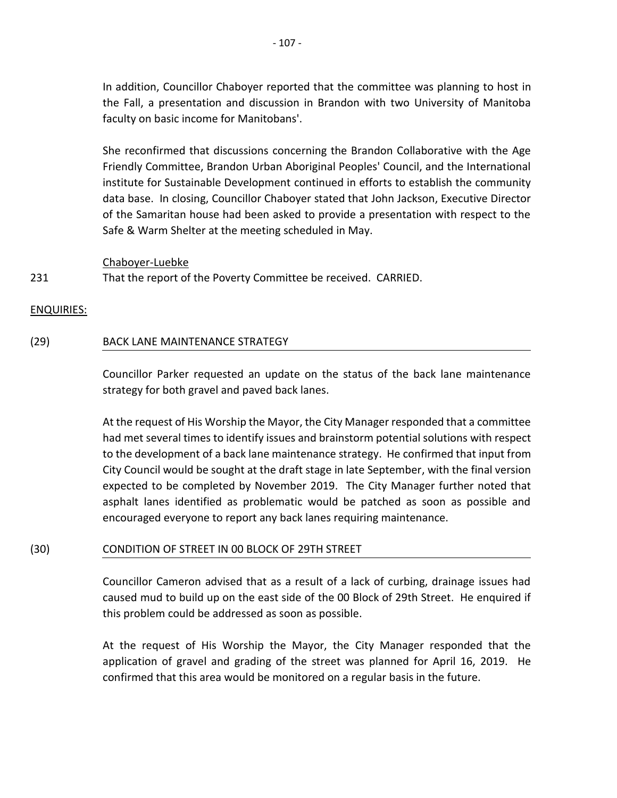In addition, Councillor Chaboyer reported that the committee was planning to host in the Fall, a presentation and discussion in Brandon with two University of Manitoba faculty on basic income for Manitobans'.

She reconfirmed that discussions concerning the Brandon Collaborative with the Age Friendly Committee, Brandon Urban Aboriginal Peoples' Council, and the International institute for Sustainable Development continued in efforts to establish the community data base. In closing, Councillor Chaboyer stated that John Jackson, Executive Director of the Samaritan house had been asked to provide a presentation with respect to the Safe & Warm Shelter at the meeting scheduled in May.

Chaboyer-Luebke

231 That the report of the Poverty Committee be received. CARRIED.

#### ENQUIRIES:

#### (29) BACK LANE MAINTENANCE STRATEGY

Councillor Parker requested an update on the status of the back lane maintenance strategy for both gravel and paved back lanes.

At the request of His Worship the Mayor, the City Manager responded that a committee had met several times to identify issues and brainstorm potential solutions with respect to the development of a back lane maintenance strategy. He confirmed that input from City Council would be sought at the draft stage in late September, with the final version expected to be completed by November 2019. The City Manager further noted that asphalt lanes identified as problematic would be patched as soon as possible and encouraged everyone to report any back lanes requiring maintenance.

#### (30) CONDITION OF STREET IN 00 BLOCK OF 29TH STREET

Councillor Cameron advised that as a result of a lack of curbing, drainage issues had caused mud to build up on the east side of the 00 Block of 29th Street. He enquired if this problem could be addressed as soon as possible.

At the request of His Worship the Mayor, the City Manager responded that the application of gravel and grading of the street was planned for April 16, 2019. He confirmed that this area would be monitored on a regular basis in the future.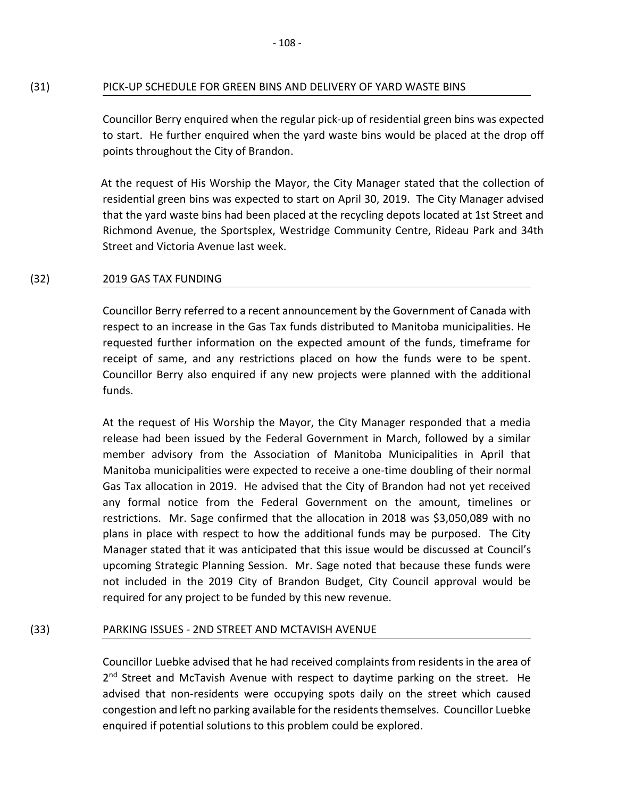## (31) PICK-UP SCHEDULE FOR GREEN BINS AND DELIVERY OF YARD WASTE BINS

Councillor Berry enquired when the regular pick-up of residential green bins was expected to start. He further enquired when the yard waste bins would be placed at the drop off points throughout the City of Brandon.

At the request of His Worship the Mayor, the City Manager stated that the collection of residential green bins was expected to start on April 30, 2019. The City Manager advised that the yard waste bins had been placed at the recycling depots located at 1st Street and Richmond Avenue, the Sportsplex, Westridge Community Centre, Rideau Park and 34th Street and Victoria Avenue last week.

#### (32) 2019 GAS TAX FUNDING

Councillor Berry referred to a recent announcement by the Government of Canada with respect to an increase in the Gas Tax funds distributed to Manitoba municipalities. He requested further information on the expected amount of the funds, timeframe for receipt of same, and any restrictions placed on how the funds were to be spent. Councillor Berry also enquired if any new projects were planned with the additional funds.

At the request of His Worship the Mayor, the City Manager responded that a media release had been issued by the Federal Government in March, followed by a similar member advisory from the Association of Manitoba Municipalities in April that Manitoba municipalities were expected to receive a one-time doubling of their normal Gas Tax allocation in 2019. He advised that the City of Brandon had not yet received any formal notice from the Federal Government on the amount, timelines or restrictions. Mr. Sage confirmed that the allocation in 2018 was \$3,050,089 with no plans in place with respect to how the additional funds may be purposed. The City Manager stated that it was anticipated that this issue would be discussed at Council's upcoming Strategic Planning Session. Mr. Sage noted that because these funds were not included in the 2019 City of Brandon Budget, City Council approval would be required for any project to be funded by this new revenue.

# (33) PARKING ISSUES - 2ND STREET AND MCTAVISH AVENUE

Councillor Luebke advised that he had received complaints from residents in the area of 2<sup>nd</sup> Street and McTavish Avenue with respect to daytime parking on the street. He advised that non-residents were occupying spots daily on the street which caused congestion and left no parking available for the residents themselves. Councillor Luebke enquired if potential solutions to this problem could be explored.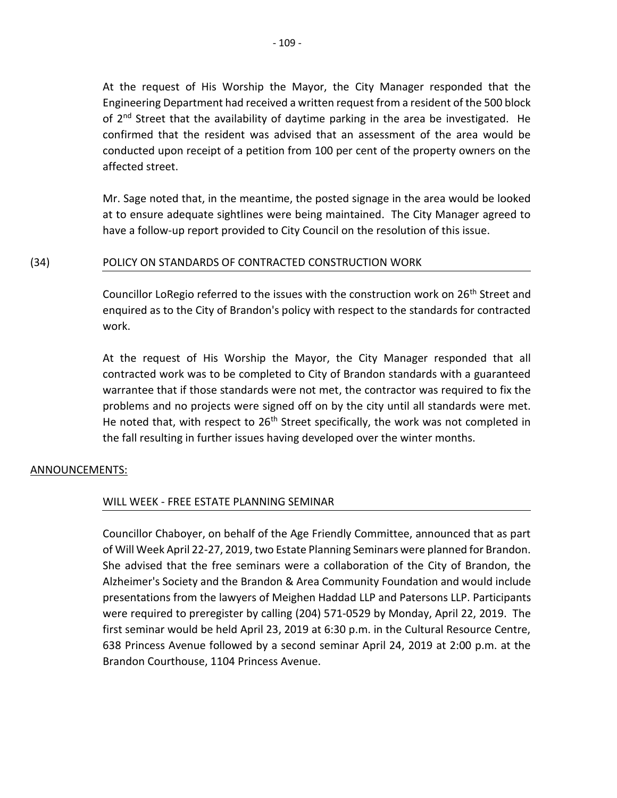At the request of His Worship the Mayor, the City Manager responded that the Engineering Department had received a written request from a resident of the 500 block of 2<sup>nd</sup> Street that the availability of daytime parking in the area be investigated. He confirmed that the resident was advised that an assessment of the area would be conducted upon receipt of a petition from 100 per cent of the property owners on the affected street.

Mr. Sage noted that, in the meantime, the posted signage in the area would be looked at to ensure adequate sightlines were being maintained. The City Manager agreed to have a follow-up report provided to City Council on the resolution of this issue.

# (34) POLICY ON STANDARDS OF CONTRACTED CONSTRUCTION WORK

Councillor LoRegio referred to the issues with the construction work on 26<sup>th</sup> Street and enquired as to the City of Brandon's policy with respect to the standards for contracted work.

At the request of His Worship the Mayor, the City Manager responded that all contracted work was to be completed to City of Brandon standards with a guaranteed warrantee that if those standards were not met, the contractor was required to fix the problems and no projects were signed off on by the city until all standards were met. He noted that, with respect to 26<sup>th</sup> Street specifically, the work was not completed in the fall resulting in further issues having developed over the winter months.

# ANNOUNCEMENTS:

# WILL WEEK - FREE ESTATE PLANNING SEMINAR

Councillor Chaboyer, on behalf of the Age Friendly Committee, announced that as part of Will Week April 22-27, 2019, two Estate Planning Seminars were planned for Brandon. She advised that the free seminars were a collaboration of the City of Brandon, the Alzheimer's Society and the Brandon & Area Community Foundation and would include presentations from the lawyers of Meighen Haddad LLP and Patersons LLP. Participants were required to preregister by calling (204) 571-0529 by Monday, April 22, 2019. The first seminar would be held April 23, 2019 at 6:30 p.m. in the Cultural Resource Centre, 638 Princess Avenue followed by a second seminar April 24, 2019 at 2:00 p.m. at the Brandon Courthouse, 1104 Princess Avenue.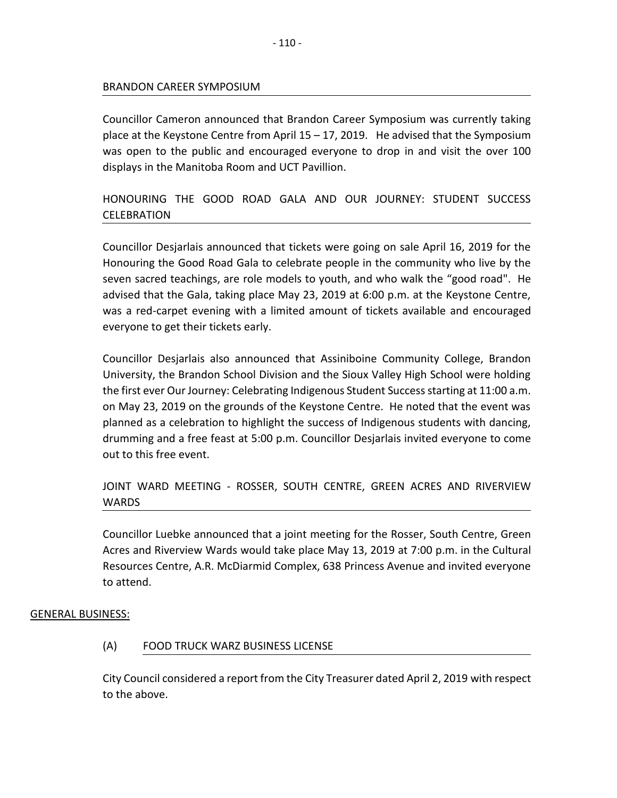### BRANDON CAREER SYMPOSIUM

Councillor Cameron announced that Brandon Career Symposium was currently taking place at the Keystone Centre from April  $15 - 17$ , 2019. He advised that the Symposium was open to the public and encouraged everyone to drop in and visit the over 100 displays in the Manitoba Room and UCT Pavillion.

# HONOURING THE GOOD ROAD GALA AND OUR JOURNEY: STUDENT SUCCESS CELEBRATION

Councillor Desjarlais announced that tickets were going on sale April 16, 2019 for the Honouring the Good Road Gala to celebrate people in the community who live by the seven sacred teachings, are role models to youth, and who walk the "good road". He advised that the Gala, taking place May 23, 2019 at 6:00 p.m. at the Keystone Centre, was a red-carpet evening with a limited amount of tickets available and encouraged everyone to get their tickets early.

Councillor Desjarlais also announced that Assiniboine Community College, Brandon University, the Brandon School Division and the Sioux Valley High School were holding the first ever Our Journey: Celebrating Indigenous Student Success starting at 11:00 a.m. on May 23, 2019 on the grounds of the Keystone Centre. He noted that the event was planned as a celebration to highlight the success of Indigenous students with dancing, drumming and a free feast at 5:00 p.m. Councillor Desjarlais invited everyone to come out to this free event.

# JOINT WARD MEETING - ROSSER, SOUTH CENTRE, GREEN ACRES AND RIVERVIEW WARDS

Councillor Luebke announced that a joint meeting for the Rosser, South Centre, Green Acres and Riverview Wards would take place May 13, 2019 at 7:00 p.m. in the Cultural Resources Centre, A.R. McDiarmid Complex, 638 Princess Avenue and invited everyone to attend.

# GENERAL BUSINESS:

# (A) FOOD TRUCK WARZ BUSINESS LICENSE

City Council considered a report from the City Treasurer dated April 2, 2019 with respect to the above.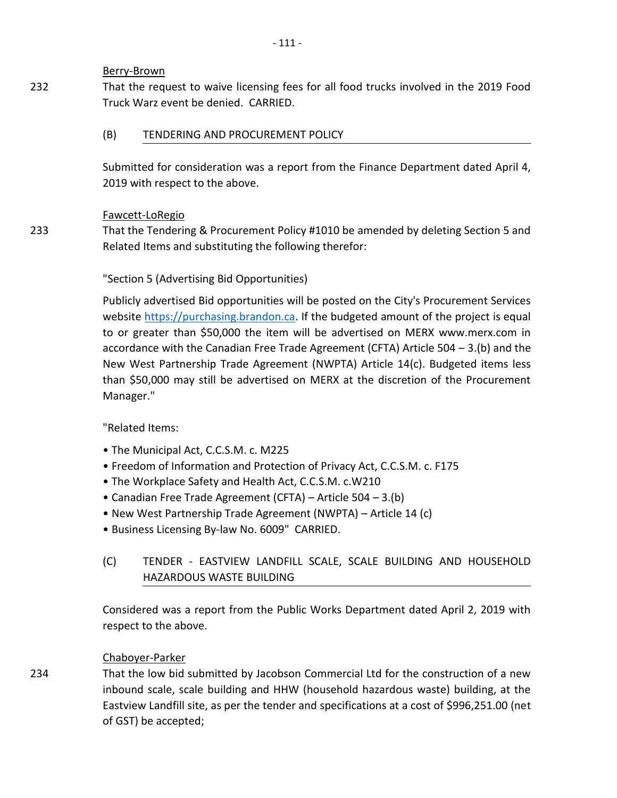## Berry-Brown

232 That the request to waive licensing fees for all food trucks involved in the 2019 Food Truck Warz event be denied. CARRIED.

# (B) TENDERING AND PROCUREMENT POLICY

Submitted for consideration was a report from the Finance Department dated April 4, 2019 with respect to the above.

# Fawcett-LoRegio

That the Tendering & Procurement Policy #1010 be amended by deleting Section 5 and Related Items and substituting the following therefor:

# "Section 5 (Advertising Bid Opportunities)

Publicly advertised Bid opportunities will be posted on the City's Procurement Services website [https://purchasing.brandon.ca.](https://purchasing.brandon.ca/) If the budgeted amount of the project is equal to or greater than \$50,000 the item will be advertised on MERX www.merx.com in accordance with the Canadian Free Trade Agreement (CFTA) Article 504 – 3.(b) and the New West Partnership Trade Agreement (NWPTA) Article 14(c). Budgeted items less than \$50,000 may still be advertised on MERX at the discretion of the Procurement Manager."

"Related Items:

- The Municipal Act, C.C.S.M. c. M225
- Freedom of Information and Protection of Privacy Act, C.C.S.M. c. F175
- The Workplace Safety and Health Act, C.C.S.M. c.W210
- Canadian Free Trade Agreement (CFTA) Article 504 3.(b)
- New West Partnership Trade Agreement (NWPTA) Article 14 (c)
- Business Licensing By-law No. 6009" CARRIED.
- (C) TENDER EASTVIEW LANDFILL SCALE, SCALE BUILDING AND HOUSEHOLD HAZARDOUS WASTE BUILDING

Considered was a report from the Public Works Department dated April 2, 2019 with respect to the above.

# Chaboyer-Parker

That the low bid submitted by Jacobson Commercial Ltd for the construction of a new inbound scale, scale building and HHW (household hazardous waste) building, at the Eastview Landfill site, as per the tender and specifications at a cost of \$996,251.00 (net of GST) be accepted;

233

234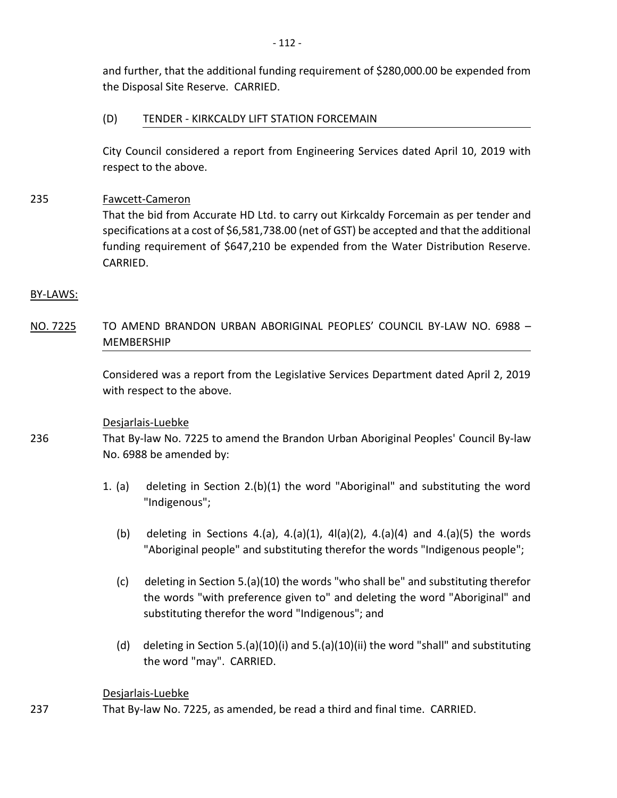and further, that the additional funding requirement of \$280,000.00 be expended from the Disposal Site Reserve. CARRIED.

# (D) TENDER - KIRKCALDY LIFT STATION FORCEMAIN

City Council considered a report from Engineering Services dated April 10, 2019 with respect to the above.

# 235 Fawcett-Cameron

That the bid from Accurate HD Ltd. to carry out Kirkcaldy Forcemain as per tender and specifications at a cost of \$6,581,738.00 (net of GST) be accepted and that the additional funding requirement of \$647,210 be expended from the Water Distribution Reserve. CARRIED.

### BY-LAWS:

236

237

NO. 7225 TO AMEND BRANDON URBAN ABORIGINAL PEOPLES' COUNCIL BY-LAW NO. 6988 – MEMBERSHIP

> Considered was a report from the Legislative Services Department dated April 2, 2019 with respect to the above.

# Desjarlais-Luebke

That By-law No. 7225 to amend the Brandon Urban Aboriginal Peoples' Council By-law No. 6988 be amended by:

- 1. (a) deleting in Section 2.(b)(1) the word "Aboriginal" and substituting the word "Indigenous";
	- (b) deleting in Sections 4.(a), 4.(a)(1), 4l(a)(2), 4.(a)(4) and 4.(a)(5) the words "Aboriginal people" and substituting therefor the words "Indigenous people";
	- (c) deleting in Section 5.(a)(10) the words "who shall be" and substituting therefor the words "with preference given to" and deleting the word "Aboriginal" and substituting therefor the word "Indigenous"; and
	- (d) deleting in Section 5.(a)(10)(i) and 5.(a)(10)(ii) the word "shall" and substituting the word "may". CARRIED.

# Desjarlais-Luebke

That By-law No. 7225, as amended, be read a third and final time. CARRIED.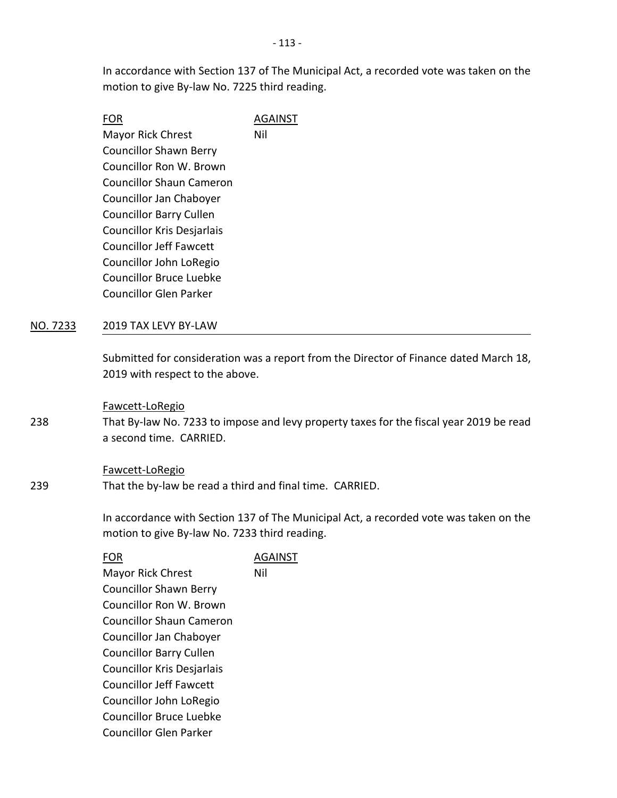In accordance with Section 137 of The Municipal Act, a recorded vote was taken on the motion to give By-law No. 7225 third reading.

| FOR                               | AGAINST |
|-----------------------------------|---------|
| <b>Mayor Rick Chrest</b>          | Nil     |
| <b>Councillor Shawn Berry</b>     |         |
| Councillor Ron W. Brown           |         |
| <b>Councillor Shaun Cameron</b>   |         |
| Councillor Jan Chaboyer           |         |
| <b>Councillor Barry Cullen</b>    |         |
| <b>Councillor Kris Desjarlais</b> |         |
| <b>Councillor Jeff Fawcett</b>    |         |
| Councillor John LoRegio           |         |
| <b>Councillor Bruce Luebke</b>    |         |
| Councillor Glen Parker            |         |
|                                   |         |

# NO. 7233 2019 TAX LEVY BY-LAW

Submitted for consideration was a report from the Director of Finance dated March 18, 2019 with respect to the above.

#### Fawcett-LoRegio

That By-law No. 7233 to impose and levy property taxes for the fiscal year 2019 be read a second time. CARRIED.

#### Fawcett-LoRegio

239 That the by-law be read a third and final time. CARRIED.

> In accordance with Section 137 of The Municipal Act, a recorded vote was taken on the motion to give By-law No. 7233 third reading.

238

# FOR AGAINST

Mayor Rick Chrest Councillor Shawn Berry Councillor Ron W. Brown Councillor Shaun Cameron Councillor Jan Chaboyer Councillor Barry Cullen Councillor Kris Desjarlais Councillor Jeff Fawcett Councillor John LoRegio Councillor Bruce Luebke Councillor Glen Parker Nil